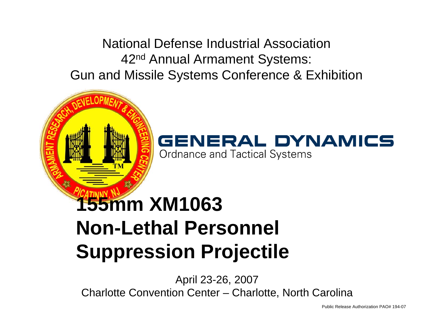National Defense Industrial Association42nd Annual Armament Systems: Gun and Missile Systems Conference & Exhibition



### **155mm XM1063 Non-Lethal Personnel Suppression Projectile**

April 23-26, 2007 Charlotte Convention Center – Charlotte, North Carolina

Public Release Authorization PAO# 194-07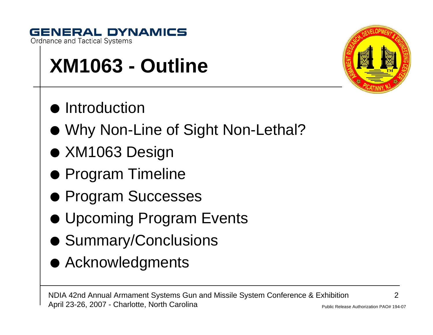#### **GENERAL DYNAMICS Ordnance and Tactical Systems**

**XM1063 - Outline**

- **•** Introduction
- Why Non-Line of Sight Non-Lethal?
- $\bullet$  XM1063 Design
- Program Timeline
- **Program Successes**
- **Upcoming Program Events**
- Summary/Conclusions
- **Acknowledgments**



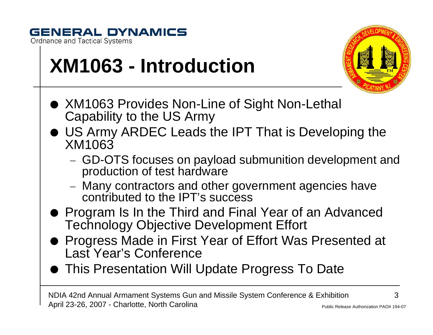

## **XM1063 - Introduction**



- XM1063 Provides Non-Line of Sight Non-Lethal Capability to the US Army
- US Army ARDEC Leads the IPT That is Developing the XM1063
	- −− GD-OTS focuses on payload submunition development and production of test hardware
	- −− Many contractors and other government agencies have contributed to the IPT's success
- Program Is In the Third and Final Year of an Advanced Technology Objective Development Effort
- Progress Made in First Year of Effort Was Presented at Last Year's Conference
- **This Presentation Will Update Progress To Date**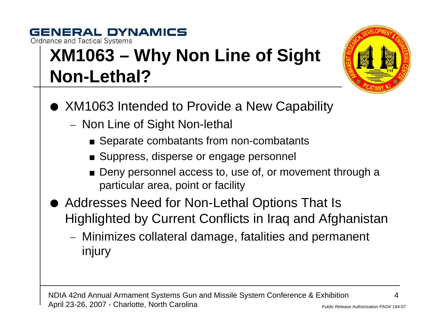### **GENERAL DYNAMICS Ordnance and Tactical Systems XM1063 – Why Non Line of Sight Non-Lethal?**



- XM1063 Intended to Provide a New Capability
	- −– Non Line of Sight Non-lethal
		- $\blacksquare$  Separate combatants from non-combatants
		- $\blacksquare$  Suppress, disperse or engage personnel
		- $\blacksquare$  Deny personnel access to, use of, or movement through a particular area, point or facility
- Addresses Need for Non-Lethal Options That Is Highlighted by Current Conflicts in Iraq and Afghanistan
	- − Minimizes collateral damage, fatalities and permanent injury

NDIA 42nd Annual Armament Systems Gun and Missile System Conference & Exhibition April 23-26, 2007 - Charlotte, North Carolina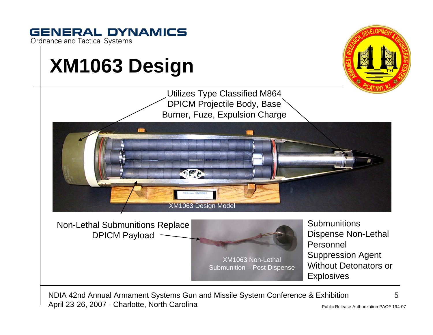

April 23-26, 2007 - Charlotte, North Carolina

Public Release Authorization PAO# 194-07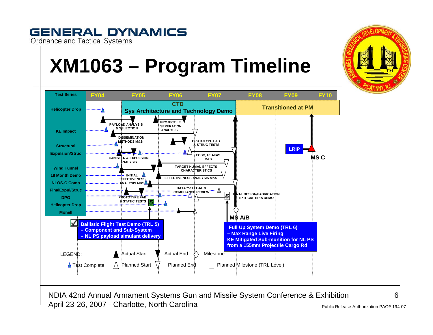## **XM1063 – Program Timeline**

**GENERAL DYNAMICS** 

**Ordnance and Tactical Systems** 



NDIA 42nd Annual Armament Systems Gun and Missile System Conference & Exhibition April 23-26, 2007 - Charlotte, North Carolina

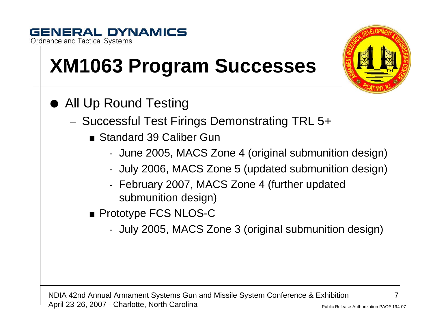### **GENERAL DYNAMICS Ordnance and Tactical Systems**

# **XM1063 Program Successes**

- O All Up Round Testing
	- −– Successful Test Firings Demonstrating TRL 5+
		- Standard 39 Caliber Gun
			- -June 2005, MACS Zone 4 (original submunition design)
			- July 2006, MACS Zone 5 (updated submunition design)
			- February 2007, MACS Zone 4 (further updated submunition design)
		- $\blacksquare$  Prototype FCS NLOS-C
			- July 2005, MACS Zone 3 (original submunition design)

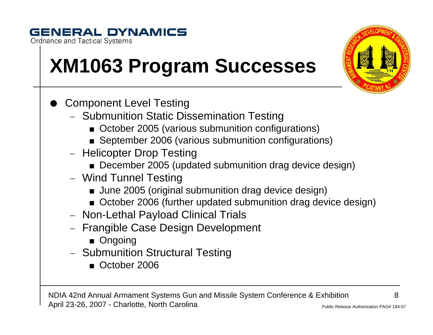### **GENERAL DYNAMICS**

**Ordnance and Tactical Systems** 

# **XM1063 Program Successes**

- O Component Level Testing
	- Submunition Static Dissemination Testing
		- October 2005 (various submunition configurations)
		- $\blacksquare$  September 2006 (various submunition configurations)
	- Helicopter Drop Testing
		- $\blacksquare$  December 2005 (updated submunition drag device design)
	- Wind Tunnel Testing
		- $\blacksquare$  June 2005 (original submunition drag device design)
		- $\blacksquare$  October 2006 (further updated submunition drag device design)
	- Non-Lethal Payload Clinical Trials
	- Frangible Case Design Development
		- $\blacksquare$  Ongoing
	- Submunition Structural Testing
		- October 2006

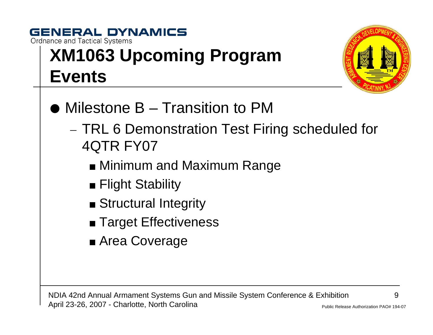### **GENERAL DYNAMICS Ordnance and Tactical Systems XM1063 Upcoming Program Events**



- Milestone B Transition to PM
	- −- TRL 6 Demonstration Test Firing scheduled for 4QTR FY07
		- $\blacksquare$  Minimum and Maximum Range
		- $\blacksquare$  Flight Stability
		- Structural Integrity
		- $\blacksquare$  Target Effectiveness
		- $\blacksquare$  Area Coverage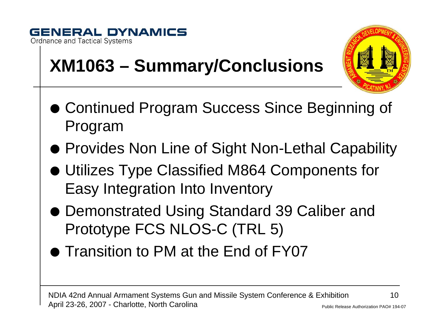



- **XM1063 – Summary/Conclusions**
- Continued Program Success Since Beginning of Program
- Provides Non Line of Sight Non-Lethal Capability
- $\bullet$  Utilizes Type Classified M864 Components for Easy Integration Into Inventory
- Demonstrated Using Standard 39 Caliber and Prototype FCS NLOS-C (TRL 5)
- $\bullet$  Transition to PM at the End of FY07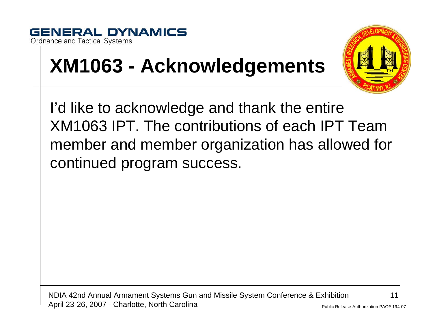



### **XM1063 - Acknowledgements**

I'd like to acknowledge and thank the entire XM1063 IPT. The contributions of each IPT Team member and member organization has allowed for continued program success.

NDIA 42nd Annual Armament Systems Gun and Missile System Conference & Exhibition April 23-26, 2007 - Charlotte, North Carolina